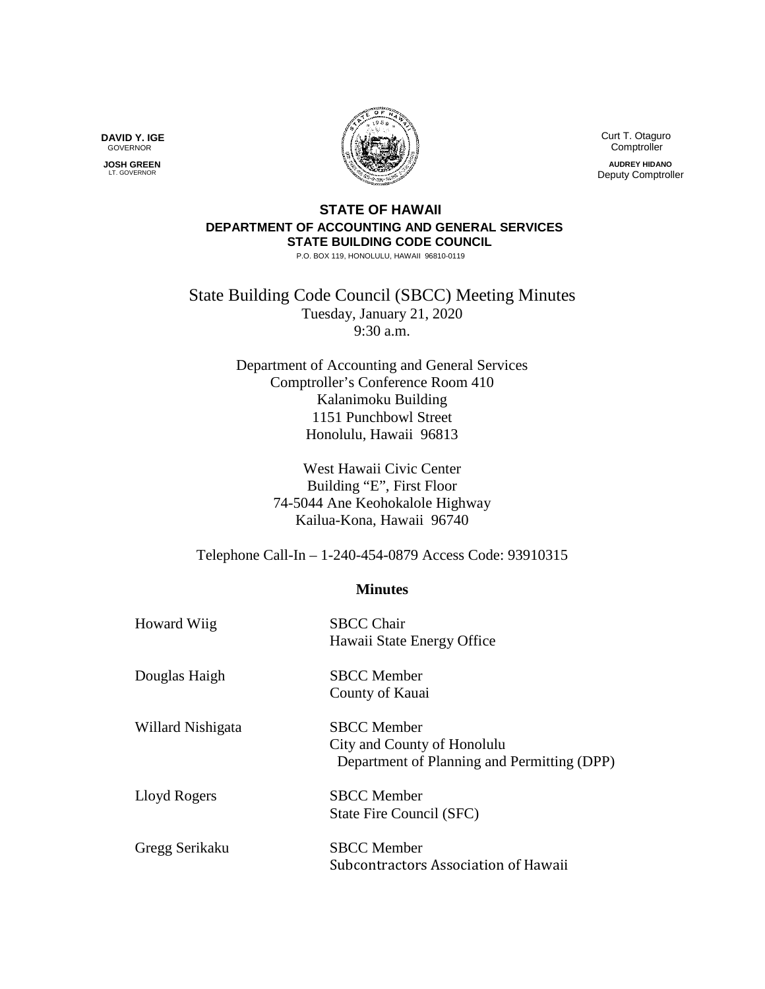Curt T. Otaguro Comptroller

**AUDREY HIDANO** Deputy Comptroller

## **STATE OF HAWAII DEPARTMENT OF ACCOUNTING AND GENERAL SERVICES STATE BUILDING CODE COUNCIL**

P.O. BOX 119, HONOLULU, HAWAII 96810-0119

State Building Code Council (SBCC) Meeting Minutes Tuesday, January 21, 2020 9:30 a.m.

> Department of Accounting and General Services Comptroller's Conference Room 410 Kalanimoku Building 1151 Punchbowl Street Honolulu, Hawaii 96813

> > West Hawaii Civic Center Building "E", First Floor 74-5044 Ane Keohokalole Highway Kailua-Kona, Hawaii 96740

Telephone Call-In – 1-240-454-0879 Access Code: 93910315

## **Minutes**

| <b>Howard Wiig</b> | <b>SBCC Chair</b><br>Hawaii State Energy Office                                                  |
|--------------------|--------------------------------------------------------------------------------------------------|
| Douglas Haigh      | <b>SBCC</b> Member<br>County of Kauai                                                            |
| Willard Nishigata  | <b>SBCC</b> Member<br>City and County of Honolulu<br>Department of Planning and Permitting (DPP) |
| Lloyd Rogers       | <b>SBCC</b> Member<br>State Fire Council (SFC)                                                   |
| Gregg Serikaku     | <b>SBCC</b> Member<br>Subcontractors Association of Hawaii                                       |

**DAVID Y. IGE** GOVERNOR

 **JOSH GREEN** LT. GOVERNOR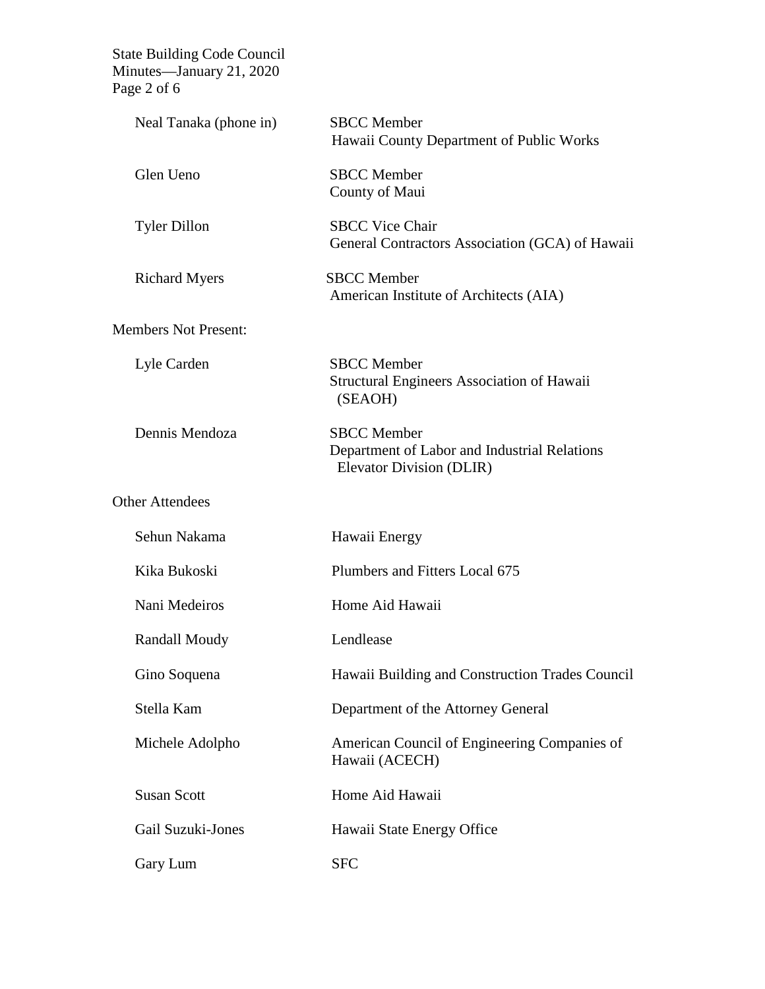| <b>State Building Code Council</b><br>Minutes-January 21, 2020<br>Page 2 of 6 |                                                                                                |
|-------------------------------------------------------------------------------|------------------------------------------------------------------------------------------------|
| Neal Tanaka (phone in)                                                        | <b>SBCC</b> Member<br>Hawaii County Department of Public Works                                 |
| Glen Ueno                                                                     | <b>SBCC</b> Member<br>County of Maui                                                           |
| <b>Tyler Dillon</b>                                                           | <b>SBCC Vice Chair</b><br>General Contractors Association (GCA) of Hawaii                      |
| <b>Richard Myers</b>                                                          | <b>SBCC</b> Member<br>American Institute of Architects (AIA)                                   |
| <b>Members Not Present:</b>                                                   |                                                                                                |
| Lyle Carden                                                                   | <b>SBCC</b> Member<br>Structural Engineers Association of Hawaii<br>(SEAOH)                    |
| Dennis Mendoza                                                                | <b>SBCC</b> Member<br>Department of Labor and Industrial Relations<br>Elevator Division (DLIR) |
| <b>Other Attendees</b>                                                        |                                                                                                |
| Sehun Nakama                                                                  | Hawaii Energy                                                                                  |
| Kika Bukoski                                                                  | Plumbers and Fitters Local 675                                                                 |
| Nani Medeiros                                                                 | Home Aid Hawaii                                                                                |
| <b>Randall Moudy</b>                                                          | Lendlease                                                                                      |
| Gino Soquena                                                                  | Hawaii Building and Construction Trades Council                                                |
| Stella Kam                                                                    | Department of the Attorney General                                                             |
| Michele Adolpho                                                               | American Council of Engineering Companies of<br>Hawaii (ACECH)                                 |
| <b>Susan Scott</b>                                                            | Home Aid Hawaii                                                                                |
| Gail Suzuki-Jones                                                             | Hawaii State Energy Office                                                                     |
| Gary Lum                                                                      | <b>SFC</b>                                                                                     |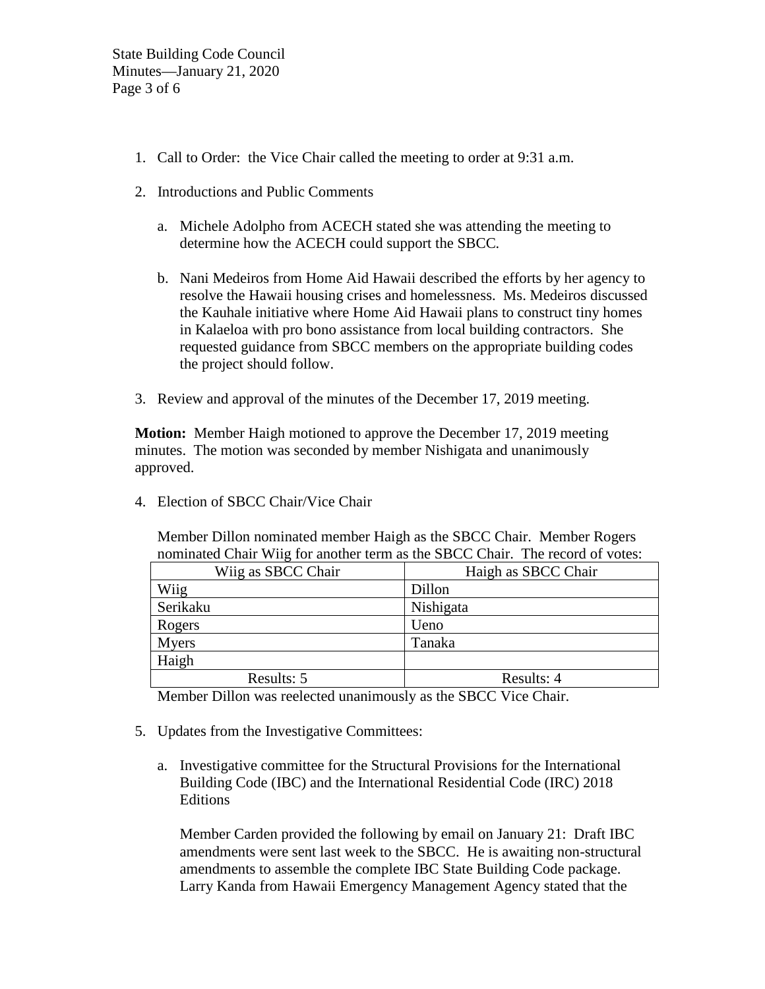State Building Code Council Minutes—January 21, 2020 Page 3 of 6

- 1. Call to Order: the Vice Chair called the meeting to order at 9:31 a.m.
- 2. Introductions and Public Comments
	- a. Michele Adolpho from ACECH stated she was attending the meeting to determine how the ACECH could support the SBCC*.*
	- b. Nani Medeiros from Home Aid Hawaii described the efforts by her agency to resolve the Hawaii housing crises and homelessness. Ms. Medeiros discussed the Kauhale initiative where Home Aid Hawaii plans to construct tiny homes in Kalaeloa with pro bono assistance from local building contractors. She requested guidance from SBCC members on the appropriate building codes the project should follow.
- 3. Review and approval of the minutes of the December 17, 2019 meeting.

**Motion:** Member Haigh motioned to approve the December 17, 2019 meeting minutes. The motion was seconded by member Nishigata and unanimously approved.

4. Election of SBCC Chair/Vice Chair

Member Dillon nominated member Haigh as the SBCC Chair. Member Rogers nominated Chair Wiig for another term as the SBCC Chair. The record of votes:

| Wiig as SBCC Chair | Haigh as SBCC Chair |
|--------------------|---------------------|
| Wiig               | Dillon              |
| Serikaku           | Nishigata           |
| Rogers             | Ueno                |
| <b>Myers</b>       | Tanaka              |
| Haigh              |                     |
| Results: 5         | Results: 4          |

Member Dillon was reelected unanimously as the SBCC Vice Chair.

- 5. Updates from the Investigative Committees:
	- a. Investigative committee for the Structural Provisions for the International Building Code (IBC) and the International Residential Code (IRC) 2018 Editions

Member Carden provided the following by email on January 21: Draft IBC amendments were sent last week to the SBCC. He is awaiting non-structural amendments to assemble the complete IBC State Building Code package. Larry Kanda from Hawaii Emergency Management Agency stated that the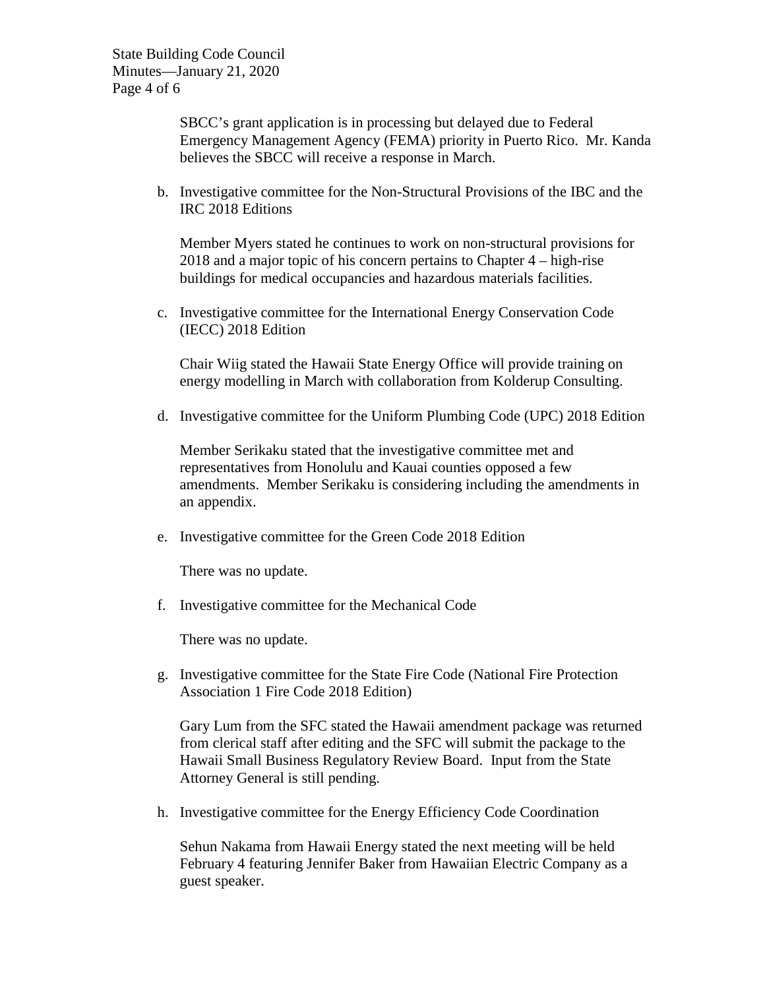SBCC's grant application is in processing but delayed due to Federal Emergency Management Agency (FEMA) priority in Puerto Rico. Mr. Kanda believes the SBCC will receive a response in March.

b. Investigative committee for the Non-Structural Provisions of the IBC and the IRC 2018 Editions

Member Myers stated he continues to work on non-structural provisions for 2018 and a major topic of his concern pertains to Chapter 4 – high-rise buildings for medical occupancies and hazardous materials facilities.

c. Investigative committee for the International Energy Conservation Code (IECC) 2018 Edition

Chair Wiig stated the Hawaii State Energy Office will provide training on energy modelling in March with collaboration from Kolderup Consulting.

d. Investigative committee for the Uniform Plumbing Code (UPC) 2018 Edition

Member Serikaku stated that the investigative committee met and representatives from Honolulu and Kauai counties opposed a few amendments. Member Serikaku is considering including the amendments in an appendix.

e. Investigative committee for the Green Code 2018 Edition

There was no update.

f. Investigative committee for the Mechanical Code

There was no update.

g. Investigative committee for the State Fire Code (National Fire Protection Association 1 Fire Code 2018 Edition)

Gary Lum from the SFC stated the Hawaii amendment package was returned from clerical staff after editing and the SFC will submit the package to the Hawaii Small Business Regulatory Review Board. Input from the State Attorney General is still pending.

h. Investigative committee for the Energy Efficiency Code Coordination

Sehun Nakama from Hawaii Energy stated the next meeting will be held February 4 featuring Jennifer Baker from Hawaiian Electric Company as a guest speaker.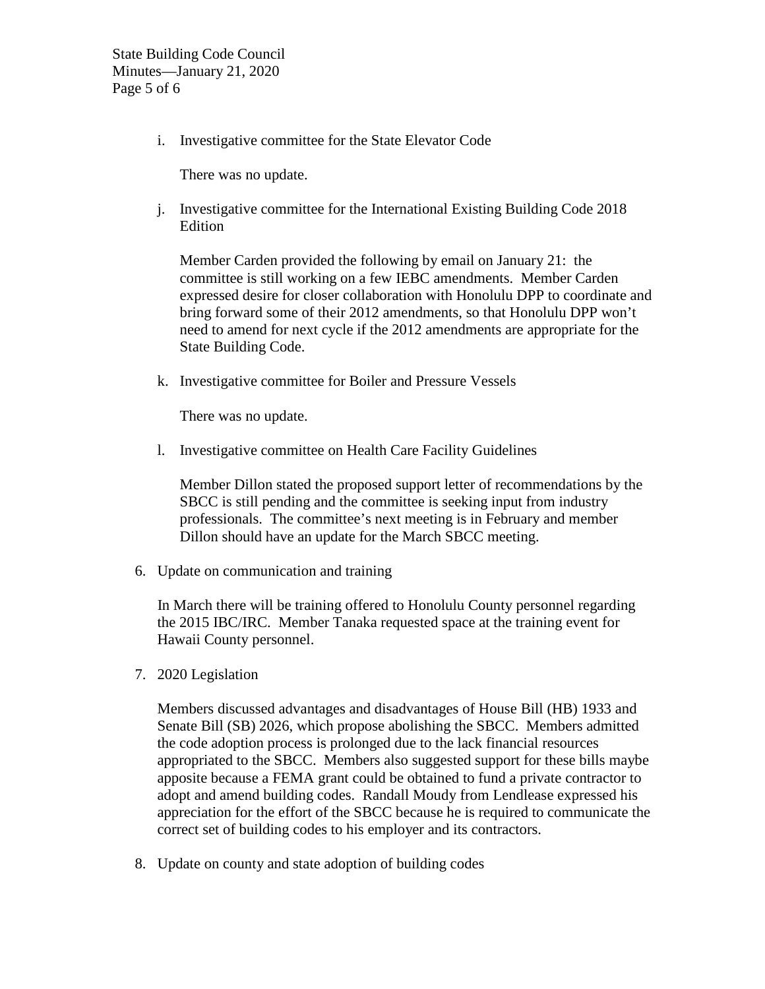State Building Code Council Minutes—January 21, 2020 Page 5 of 6

i. Investigative committee for the State Elevator Code

There was no update.

j. Investigative committee for the International Existing Building Code 2018 Edition

Member Carden provided the following by email on January 21: the committee is still working on a few IEBC amendments. Member Carden expressed desire for closer collaboration with Honolulu DPP to coordinate and bring forward some of their 2012 amendments, so that Honolulu DPP won't need to amend for next cycle if the 2012 amendments are appropriate for the State Building Code.

k. Investigative committee for Boiler and Pressure Vessels

There was no update.

l. Investigative committee on Health Care Facility Guidelines

Member Dillon stated the proposed support letter of recommendations by the SBCC is still pending and the committee is seeking input from industry professionals. The committee's next meeting is in February and member Dillon should have an update for the March SBCC meeting.

6. Update on communication and training

In March there will be training offered to Honolulu County personnel regarding the 2015 IBC/IRC. Member Tanaka requested space at the training event for Hawaii County personnel.

7. 2020 Legislation

Members discussed advantages and disadvantages of House Bill (HB) 1933 and Senate Bill (SB) 2026, which propose abolishing the SBCC. Members admitted the code adoption process is prolonged due to the lack financial resources appropriated to the SBCC. Members also suggested support for these bills maybe apposite because a FEMA grant could be obtained to fund a private contractor to adopt and amend building codes. Randall Moudy from Lendlease expressed his appreciation for the effort of the SBCC because he is required to communicate the correct set of building codes to his employer and its contractors.

8. Update on county and state adoption of building codes